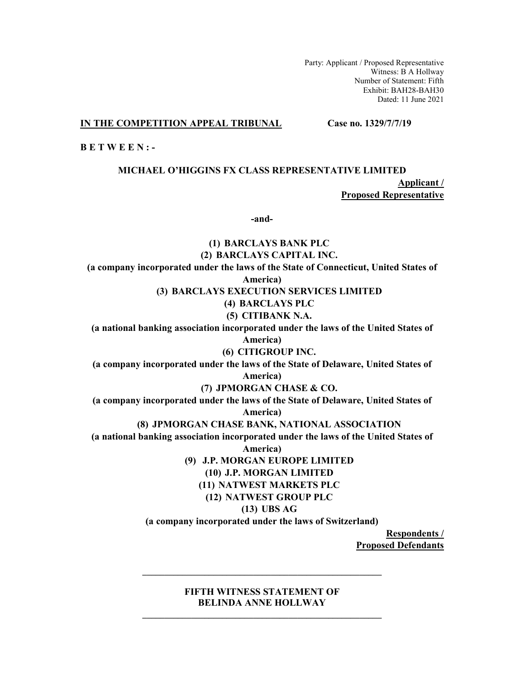Party: Applicant / Proposed Representative Witness: B A Hollway Number of Statement: Fifth Exhibit: BAH28-BAH30 Dated: 11 June 2021

**IN THE COMPETITION APPEAL TRIBUNAL Case no. 1329/7/7/19** 

**B E T W E E N : -** 

# **MICHAEL O'HIGGINS FX CLASS REPRESENTATIVE LIMITED Applicant /**

**Proposed Representative** 

**-and-** 

**(1) BARCLAYS BANK PLC (2) BARCLAYS CAPITAL INC. (a company incorporated under the laws of the State of Connecticut, United States of America) (3) BARCLAYS EXECUTION SERVICES LIMITED (4) BARCLAYS PLC (5) CITIBANK N.A. (a national banking association incorporated under the laws of the United States of America) (6) CITIGROUP INC. (a company incorporated under the laws of the State of Delaware, United States of America) (7) JPMORGAN CHASE & CO. (a company incorporated under the laws of the State of Delaware, United States of America) (8) JPMORGAN CHASE BANK, NATIONAL ASSOCIATION (a national banking association incorporated under the laws of the United States of America) (9) J.P. MORGAN EUROPE LIMITED (10) J.P. MORGAN LIMITED (11) NATWEST MARKETS PLC (12) NATWEST GROUP PLC (13) UBS AG (a company incorporated under the laws of Switzerland) Respondents /** 

**Proposed Defendants** 

# **FIFTH WITNESS STATEMENT OF BELINDA ANNE HOLLWAY \_\_\_\_\_\_\_\_\_\_\_\_\_\_\_\_\_\_\_\_\_\_\_\_\_\_\_\_\_\_\_\_\_\_\_\_\_\_\_\_\_\_\_\_\_\_\_\_\_\_\_\_\_\_**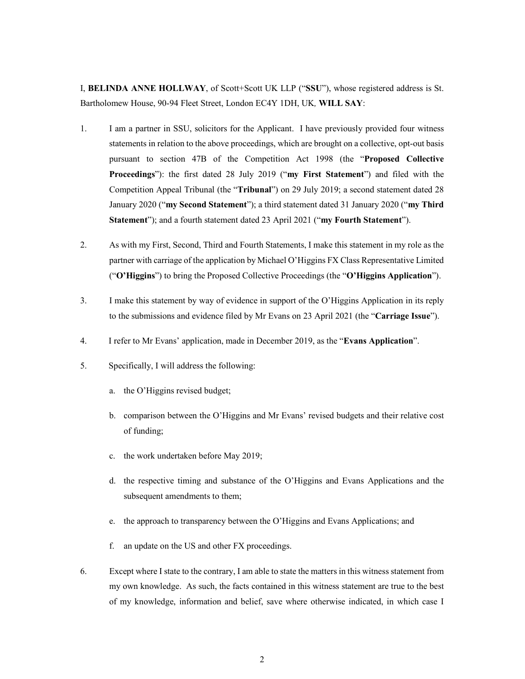I, **BELINDA ANNE HOLLWAY**, of Scott+Scott UK LLP ("**SSU**"), whose registered address is St. Bartholomew House, 90-94 Fleet Street, London EC4Y 1DH, UK*,* **WILL SAY**:

- 1. I am a partner in SSU, solicitors for the Applicant. I have previously provided four witness statements in relation to the above proceedings, which are brought on a collective, opt-out basis pursuant to section 47B of the Competition Act 1998 (the "**Proposed Collective Proceedings**"): the first dated 28 July 2019 ("**my First Statement**") and filed with the Competition Appeal Tribunal (the "**Tribunal**") on 29 July 2019; a second statement dated 28 January 2020 ("**my Second Statement**"); a third statement dated 31 January 2020 ("**my Third Statement**"); and a fourth statement dated 23 April 2021 ("**my Fourth Statement**").
- 2. As with my First, Second, Third and Fourth Statements, I make this statement in my role as the partner with carriage of the application by Michael O'Higgins FX Class Representative Limited ("**O'Higgins**") to bring the Proposed Collective Proceedings (the "**O'Higgins Application**").
- 3. I make this statement by way of evidence in support of the O'Higgins Application in its reply to the submissions and evidence filed by Mr Evans on 23 April 2021 (the "**Carriage Issue**").
- 4. I refer to Mr Evans' application, made in December 2019, as the "**Evans Application**".
- 5. Specifically, I will address the following:
	- a. the O'Higgins revised budget;
	- b. comparison between the O'Higgins and Mr Evans' revised budgets and their relative cost of funding;
	- c. the work undertaken before May 2019;
	- d. the respective timing and substance of the O'Higgins and Evans Applications and the subsequent amendments to them;
	- e. the approach to transparency between the O'Higgins and Evans Applications; and
	- f. an update on the US and other FX proceedings.
- 6. Except where I state to the contrary, I am able to state the matters in this witness statement from my own knowledge. As such, the facts contained in this witness statement are true to the best of my knowledge, information and belief, save where otherwise indicated, in which case I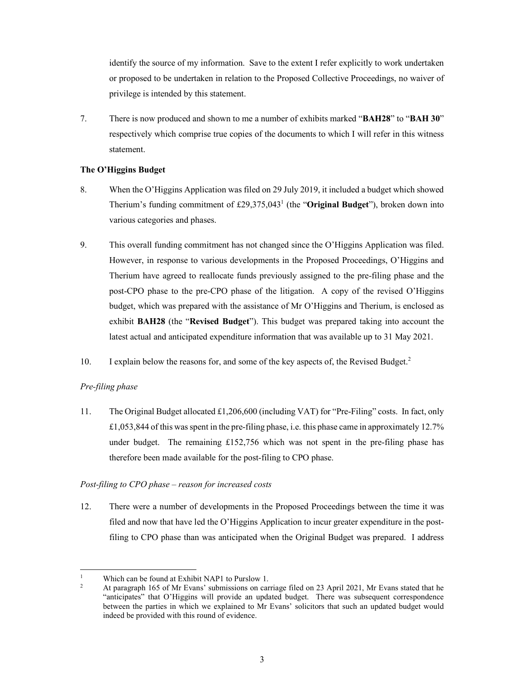identify the source of my information. Save to the extent I refer explicitly to work undertaken or proposed to be undertaken in relation to the Proposed Collective Proceedings, no waiver of privilege is intended by this statement.

7. There is now produced and shown to me a number of exhibits marked "**BAH28**" to "**BAH 30**" respectively which comprise true copies of the documents to which I will refer in this witness statement.

## **The O'Higgins Budget**

- 8. When the O'Higgins Application was filed on 29 July 2019, it included a budget which showed Therium's funding commitment of £29,375,043<sup>1</sup> (the "Original Budget"), broken down into various categories and phases.
- 9. This overall funding commitment has not changed since the O'Higgins Application was filed. However, in response to various developments in the Proposed Proceedings, O'Higgins and Therium have agreed to reallocate funds previously assigned to the pre-filing phase and the post-CPO phase to the pre-CPO phase of the litigation. A copy of the revised O'Higgins budget, which was prepared with the assistance of Mr O'Higgins and Therium, is enclosed as exhibit **BAH28** (the "**Revised Budget**"). This budget was prepared taking into account the latest actual and anticipated expenditure information that was available up to 31 May 2021.
- 10. I explain below the reasons for, and some of the key aspects of, the Revised Budget.<sup>2</sup>

# *Pre-filing phase*

11. The Original Budget allocated  $\pounds$ 1,206,600 (including VAT) for "Pre-Filing" costs. In fact, only £1,053,844 of this was spent in the pre-filing phase, i.e. this phase came in approximately 12.7% under budget. The remaining  $£152,756$  which was not spent in the pre-filing phase has therefore been made available for the post-filing to CPO phase.

## *Post-filing to CPO phase* – *reason for increased costs*

12. There were a number of developments in the Proposed Proceedings between the time it was filed and now that have led the O'Higgins Application to incur greater expenditure in the postfiling to CPO phase than was anticipated when the Original Budget was prepared. I address

<sup>-</sup>1 Which can be found at Exhibit NAP1 to Purslow 1.

 $\overline{2}$  At paragraph 165 of Mr Evans' submissions on carriage filed on 23 April 2021, Mr Evans stated that he "anticipates" that O'Higgins will provide an updated budget. There was subsequent correspondence between the parties in which we explained to Mr Evans' solicitors that such an updated budget would indeed be provided with this round of evidence.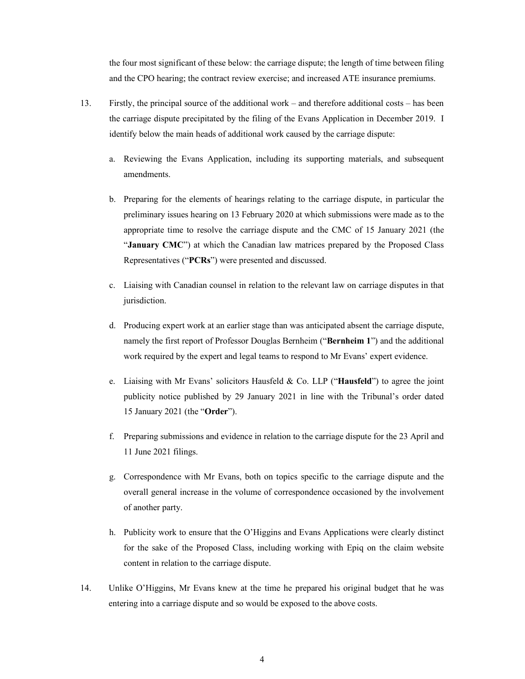the four most significant of these below: the carriage dispute; the length of time between filing and the CPO hearing; the contract review exercise; and increased ATE insurance premiums.

- 13. Firstly, the principal source of the additional work and therefore additional costs has been the carriage dispute precipitated by the filing of the Evans Application in December 2019. I identify below the main heads of additional work caused by the carriage dispute:
	- a. Reviewing the Evans Application, including its supporting materials, and subsequent amendments.
	- b. Preparing for the elements of hearings relating to the carriage dispute, in particular the preliminary issues hearing on 13 February 2020 at which submissions were made as to the appropriate time to resolve the carriage dispute and the CMC of 15 January 2021 (the "January CMC") at which the Canadian law matrices prepared by the Proposed Class Representatives ("**PCRs**") were presented and discussed.
	- c. Liaising with Canadian counsel in relation to the relevant law on carriage disputes in that jurisdiction.
	- d. Producing expert work at an earlier stage than was anticipated absent the carriage dispute, namely the first report of Professor Douglas Bernheim ("**Bernheim 1**") and the additional work required by the expert and legal teams to respond to Mr Evans' expert evidence.
	- e. Liaising with Mr Evans' solicitors Hausfeld & Co. LLP ("**Hausfeld**") to agree the joint publicity notice published by 29 January 2021 in line with the Tribunal's order dated 15 January 2021 (the "**Order**").
	- f. Preparing submissions and evidence in relation to the carriage dispute for the 23 April and 11 June 2021 filings.
	- g. Correspondence with Mr Evans, both on topics specific to the carriage dispute and the overall general increase in the volume of correspondence occasioned by the involvement of another party.
	- h. Publicity work to ensure that the O'Higgins and Evans Applications were clearly distinct for the sake of the Proposed Class, including working with Epiq on the claim website content in relation to the carriage dispute.
- 14. Unlike O'Higgins, Mr Evans knew at the time he prepared his original budget that he was entering into a carriage dispute and so would be exposed to the above costs.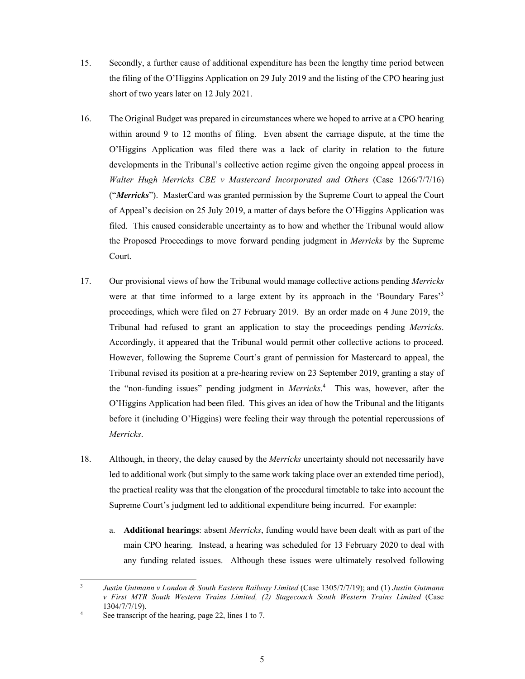- 15. Secondly, a further cause of additional expenditure has been the lengthy time period between the filing of the O'Higgins Application on 29 July 2019 and the listing of the CPO hearing just short of two years later on 12 July 2021.
- 16. The Original Budget was prepared in circumstances where we hoped to arrive at a CPO hearing within around 9 to 12 months of filing. Even absent the carriage dispute, at the time the O'Higgins Application was filed there was a lack of clarity in relation to the future developments in the Tribunal's collective action regime given the ongoing appeal process in *Walter Hugh Merricks CBE v Mastercard Incorporated and Others* (Case 1266/7/7/16) ("*Merricks*"). MasterCard was granted permission by the Supreme Court to appeal the Court of Appeal's decision on 25 July 2019, a matter of days before the O'Higgins Application was filed. This caused considerable uncertainty as to how and whether the Tribunal would allow the Proposed Proceedings to move forward pending judgment in *Merricks* by the Supreme Court.
- 17. Our provisional views of how the Tribunal would manage collective actions pending *Merricks*  were at that time informed to a large extent by its approach in the 'Boundary Fares'<sup>3</sup> proceedings, which were filed on 27 February 2019. By an order made on 4 June 2019, the Tribunal had refused to grant an application to stay the proceedings pending *Merricks*. Accordingly, it appeared that the Tribunal would permit other collective actions to proceed. However, following the Supreme Court's grant of permission for Mastercard to appeal, the Tribunal revised its position at a pre-hearing review on 23 September 2019, granting a stay of the "non-funding issues" pending judgment in *Merricks*. 4 This was, however, after the O'Higgins Application had been filed. This gives an idea of how the Tribunal and the litigants before it (including O'Higgins) were feeling their way through the potential repercussions of *Merricks*.
- 18. Although, in theory, the delay caused by the *Merricks* uncertainty should not necessarily have led to additional work (but simply to the same work taking place over an extended time period), the practical reality was that the elongation of the procedural timetable to take into account the Supreme Court's judgment led to additional expenditure being incurred. For example:
	- a. **Additional hearings**: absent *Merricks*, funding would have been dealt with as part of the main CPO hearing. Instead, a hearing was scheduled for 13 February 2020 to deal with any funding related issues. Although these issues were ultimately resolved following

<sup>-&</sup>lt;br>3 *Justin Gutmann v London & South Eastern Railway Limited* (Case 1305/7/7/19); and (1) *Justin Gutmann v First MTR South Western Trains Limited, (2) Stagecoach South Western Trains Limited* (Case  $1304/7/7/19$ .

See transcript of the hearing, page 22, lines 1 to 7.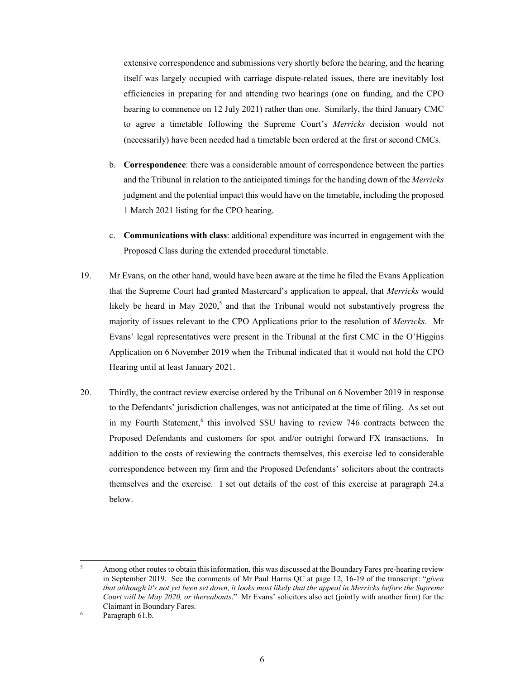extensive correspondence and submissions very shortly before the hearing, and the hearing itself was largely occupied with carriage dispute-related issues, there are inevitably lost efficiencies in preparing for and attending two hearings (one on funding, and the CPO hearing to commence on 12 July 2021) rather than one. Similarly, the third January CMC to agree a timetable following the Supreme Court's *Merricks* decision would not (necessarily) have been needed had a timetable been ordered at the first or second CMCs.

- b. **Correspondence**: there was a considerable amount of correspondence between the parties and the Tribunal in relation to the anticipated timings for the handing down of the *Merricks* judgment and the potential impact this would have on the timetable, including the proposed 1 March 2021 listing for the CPO hearing.
- c. **Communications with class**: additional expenditure was incurred in engagement with the Proposed Class during the extended procedural timetable.
- 19. Mr Evans, on the other hand, would have been aware at the time he filed the Evans Application that the Supreme Court had granted Mastercard's application to appeal, that *Merricks* would likely be heard in May  $2020$ <sup>5</sup>, and that the Tribunal would not substantively progress the majority of issues relevant to the CPO Applications prior to the resolution of *Merricks*. Mr Evans' legal representatives were present in the Tribunal at the first CMC in the O'Higgins Application on 6 November 2019 when the Tribunal indicated that it would not hold the CPO Hearing until at least January 2021.
- 20. Thirdly, the contract review exercise ordered by the Tribunal on 6 November 2019 in response to the Defendants' jurisdiction challenges, was not anticipated at the time of filing. As set out in my Fourth Statement,<sup>6</sup> this involved SSU having to review 746 contracts between the Proposed Defendants and customers for spot and/or outright forward FX transactions. In addition to the costs of reviewing the contracts themselves, this exercise led to considerable correspondence between my firm and the Proposed Defendants' solicitors about the contracts themselves and the exercise. I set out details of the cost of this exercise at paragraph 24.a below.

<u>.</u>

<sup>5</sup> Among other routes to obtain this information, this was discussed at the Boundary Fares pre-hearing review in September 2019. See the comments of Mr Paul Harris QC at page 12, 16-19 of the transcript: "*given that although it's not yet been set down, it looks most likely that the appeal in Merricks before the Supreme Court will be May 2020, or thereabouts*." Mr Evans' solicitors also act (jointly with another firm) for the Claimant in Boundary Fares.

Paragraph 61.b.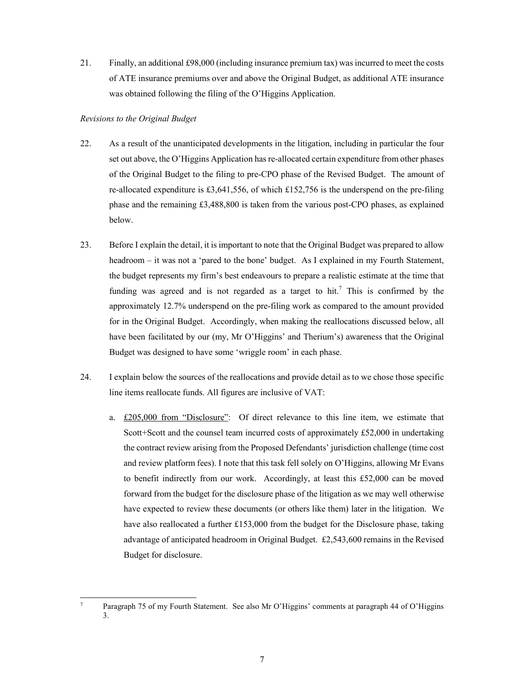21. Finally, an additional £98,000 (including insurance premium tax) was incurred to meet the costs of ATE insurance premiums over and above the Original Budget, as additional ATE insurance was obtained following the filing of the O'Higgins Application.

## *Revisions to the Original Budget*

- 22. As a result of the unanticipated developments in the litigation, including in particular the four set out above, the O'Higgins Application has re-allocated certain expenditure from other phases of the Original Budget to the filing to pre-CPO phase of the Revised Budget. The amount of re-allocated expenditure is £3,641,556, of which £152,756 is the underspend on the pre-filing phase and the remaining £3,488,800 is taken from the various post-CPO phases, as explained below.
- 23. Before I explain the detail, it is important to note that the Original Budget was prepared to allow headroom – it was not a 'pared to the bone' budget. As I explained in my Fourth Statement, the budget represents my firm's best endeavours to prepare a realistic estimate at the time that funding was agreed and is not regarded as a target to hit.<sup>7</sup> This is confirmed by the approximately 12.7% underspend on the pre-filing work as compared to the amount provided for in the Original Budget. Accordingly, when making the reallocations discussed below, all have been facilitated by our (my, Mr O'Higgins' and Therium's) awareness that the Original Budget was designed to have some 'wriggle room' in each phase.
- 24. I explain below the sources of the reallocations and provide detail as to we chose those specific line items reallocate funds. All figures are inclusive of VAT:
	- a. £205,000 from "Disclosure": Of direct relevance to this line item, we estimate that Scott+Scott and the counsel team incurred costs of approximately £52,000 in undertaking the contract review arising from the Proposed Defendants' jurisdiction challenge (time cost and review platform fees). I note that this task fell solely on O'Higgins, allowing Mr Evans to benefit indirectly from our work. Accordingly, at least this £52,000 can be moved forward from the budget for the disclosure phase of the litigation as we may well otherwise have expected to review these documents (or others like them) later in the litigation. We have also reallocated a further £153,000 from the budget for the Disclosure phase, taking advantage of anticipated headroom in Original Budget. £2,543,600 remains in the Revised Budget for disclosure.

<sup>-&</sup>lt;br>7 Paragraph 75 of my Fourth Statement. See also Mr O'Higgins' comments at paragraph 44 of O'Higgins 3.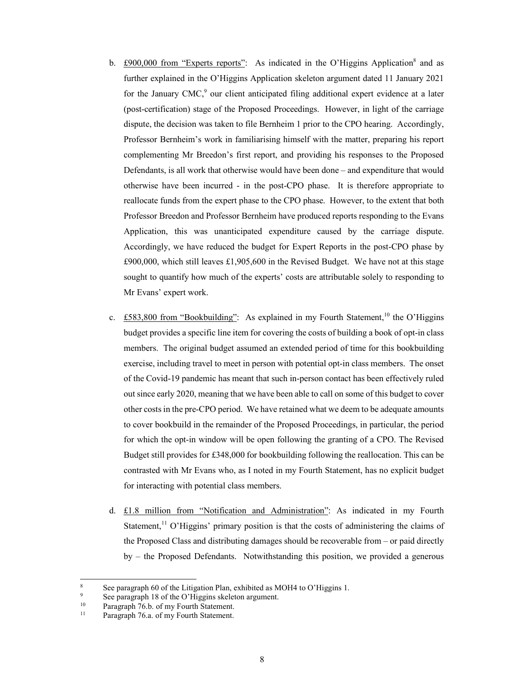- b. £900,000 from "Experts reports": As indicated in the O'Higgins Application<sup>8</sup> and as further explained in the O'Higgins Application skeleton argument dated 11 January 2021 for the January CMC,<sup>9</sup> our client anticipated filing additional expert evidence at a later (post-certification) stage of the Proposed Proceedings. However, in light of the carriage dispute, the decision was taken to file Bernheim 1 prior to the CPO hearing. Accordingly, Professor Bernheim's work in familiarising himself with the matter, preparing his report complementing Mr Breedon's first report, and providing his responses to the Proposed Defendants, is all work that otherwise would have been done – and expenditure that would otherwise have been incurred - in the post-CPO phase. It is therefore appropriate to reallocate funds from the expert phase to the CPO phase. However, to the extent that both Professor Breedon and Professor Bernheim have produced reports responding to the Evans Application, this was unanticipated expenditure caused by the carriage dispute. Accordingly, we have reduced the budget for Expert Reports in the post-CPO phase by  $£900,000$ , which still leaves £1,905,600 in the Revised Budget. We have not at this stage sought to quantify how much of the experts' costs are attributable solely to responding to Mr Evans' expert work.
- c. £583,800 from "Bookbuilding": As explained in my Fourth Statement,<sup>10</sup> the O'Higgins budget provides a specific line item for covering the costs of building a book of opt-in class members. The original budget assumed an extended period of time for this bookbuilding exercise, including travel to meet in person with potential opt-in class members. The onset of the Covid-19 pandemic has meant that such in-person contact has been effectively ruled out since early 2020, meaning that we have been able to call on some of this budget to cover other costs in the pre-CPO period. We have retained what we deem to be adequate amounts to cover bookbuild in the remainder of the Proposed Proceedings, in particular, the period for which the opt-in window will be open following the granting of a CPO. The Revised Budget still provides for £348,000 for bookbuilding following the reallocation. This can be contrasted with Mr Evans who, as I noted in my Fourth Statement, has no explicit budget for interacting with potential class members.
- d. £1.8 million from "Notification and Administration": As indicated in my Fourth Statement,<sup>11</sup> O'Higgins' primary position is that the costs of administering the claims of the Proposed Class and distributing damages should be recoverable from – or paid directly by – the Proposed Defendants. Notwithstanding this position, we provided a generous

-

<sup>8</sup> See paragraph 60 of the Litigation Plan, exhibited as MOH4 to O'Higgins 1.

See paragraph 18 of the O'Higgins skeleton argument.<br> $\frac{10}{10}$  Paragraph 76 b of my Fourth Statement

<sup>&</sup>lt;sup>10</sup> Paragraph 76.b. of my Fourth Statement.<br> $\frac{11}{26}$  Paragraph 76.e. of my Fourth Statement.

Paragraph 76.a. of my Fourth Statement.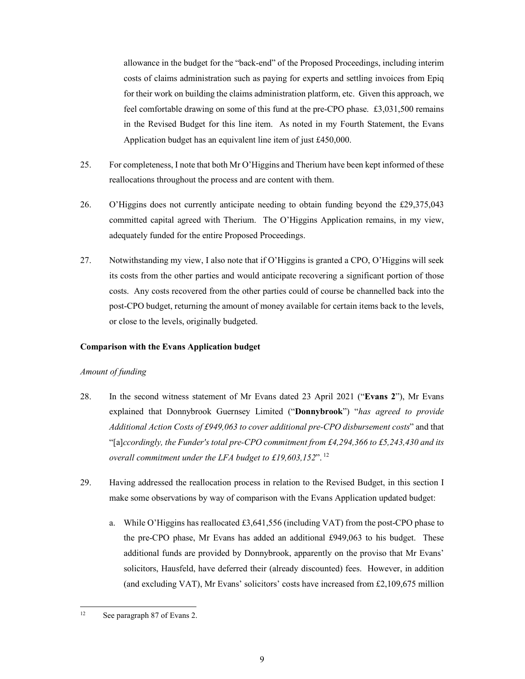allowance in the budget for the "back-end" of the Proposed Proceedings, including interim costs of claims administration such as paying for experts and settling invoices from Epiq for their work on building the claims administration platform, etc. Given this approach, we feel comfortable drawing on some of this fund at the pre-CPO phase. £3,031,500 remains in the Revised Budget for this line item. As noted in my Fourth Statement, the Evans Application budget has an equivalent line item of just £450,000.

- 25. For completeness, I note that both Mr O'Higgins and Therium have been kept informed of these reallocations throughout the process and are content with them.
- 26. O'Higgins does not currently anticipate needing to obtain funding beyond the £29,375,043 committed capital agreed with Therium. The O'Higgins Application remains, in my view, adequately funded for the entire Proposed Proceedings.
- 27. Notwithstanding my view, I also note that if O'Higgins is granted a CPO, O'Higgins will seek its costs from the other parties and would anticipate recovering a significant portion of those costs. Any costs recovered from the other parties could of course be channelled back into the post-CPO budget, returning the amount of money available for certain items back to the levels, or close to the levels, originally budgeted.

#### **Comparison with the Evans Application budget**

#### *Amount of funding*

- 28. In the second witness statement of Mr Evans dated 23 April 2021 ("**Evans 2**"), Mr Evans explained that Donnybrook Guernsey Limited ("**Donnybrook**") "*has agreed to provide Additional Action Costs of £949,063 to cover additional pre-CPO disbursement costs*" and that "[a]*ccordingly, the Funder's total pre-CPO commitment from £4,294,366 to £5,243,430 and its overall commitment under the LFA budget to £19,603,152*". 12
- 29. Having addressed the reallocation process in relation to the Revised Budget, in this section I make some observations by way of comparison with the Evans Application updated budget:
	- a. While O'Higgins has reallocated £3,641,556 (including VAT) from the post-CPO phase to the pre-CPO phase, Mr Evans has added an additional £949,063 to his budget. These additional funds are provided by Donnybrook, apparently on the proviso that Mr Evans' solicitors, Hausfeld, have deferred their (already discounted) fees. However, in addition (and excluding VAT), Mr Evans' solicitors' costs have increased from £2,109,675 million

 $12$ See paragraph 87 of Evans 2.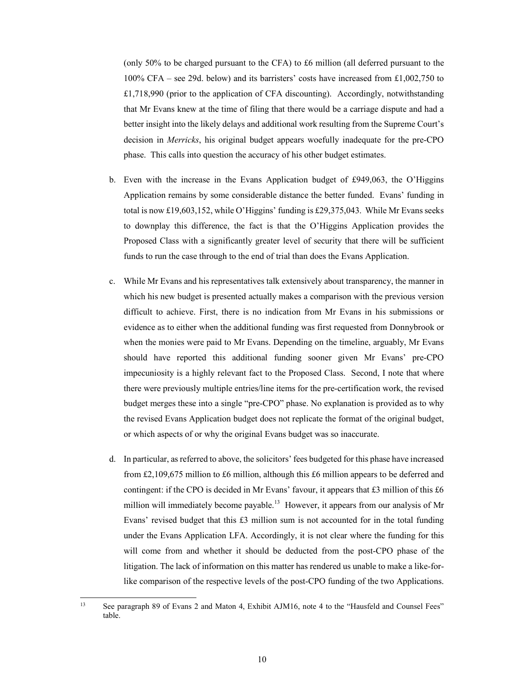(only 50% to be charged pursuant to the CFA) to £6 million (all deferred pursuant to the 100% CFA – see 29d. below) and its barristers' costs have increased from £1,002,750 to £1,718,990 (prior to the application of CFA discounting). Accordingly, notwithstanding that Mr Evans knew at the time of filing that there would be a carriage dispute and had a better insight into the likely delays and additional work resulting from the Supreme Court's decision in *Merricks*, his original budget appears woefully inadequate for the pre-CPO phase. This calls into question the accuracy of his other budget estimates.

- b. Even with the increase in the Evans Application budget of £949,063, the O'Higgins Application remains by some considerable distance the better funded. Evans' funding in total is now £19,603,152, while O'Higgins' funding is £29,375,043. While Mr Evans seeks to downplay this difference, the fact is that the O'Higgins Application provides the Proposed Class with a significantly greater level of security that there will be sufficient funds to run the case through to the end of trial than does the Evans Application.
- c. While Mr Evans and his representatives talk extensively about transparency, the manner in which his new budget is presented actually makes a comparison with the previous version difficult to achieve. First, there is no indication from Mr Evans in his submissions or evidence as to either when the additional funding was first requested from Donnybrook or when the monies were paid to Mr Evans. Depending on the timeline, arguably, Mr Evans should have reported this additional funding sooner given Mr Evans' pre-CPO impecuniosity is a highly relevant fact to the Proposed Class. Second, I note that where there were previously multiple entries/line items for the pre-certification work, the revised budget merges these into a single "pre-CPO" phase. No explanation is provided as to why the revised Evans Application budget does not replicate the format of the original budget, or which aspects of or why the original Evans budget was so inaccurate.
- d. In particular, as referred to above, the solicitors' fees budgeted for this phase have increased from £2,109,675 million to £6 million, although this £6 million appears to be deferred and contingent: if the CPO is decided in Mr Evans' favour, it appears that  $£3$  million of this  $£6$ million will immediately become payable.<sup>13</sup> However, it appears from our analysis of Mr Evans' revised budget that this £3 million sum is not accounted for in the total funding under the Evans Application LFA. Accordingly, it is not clear where the funding for this will come from and whether it should be deducted from the post-CPO phase of the litigation. The lack of information on this matter has rendered us unable to make a like-forlike comparison of the respective levels of the post-CPO funding of the two Applications.

 $13$ See paragraph 89 of Evans 2 and Maton 4, Exhibit AJM16, note 4 to the "Hausfeld and Counsel Fees" table.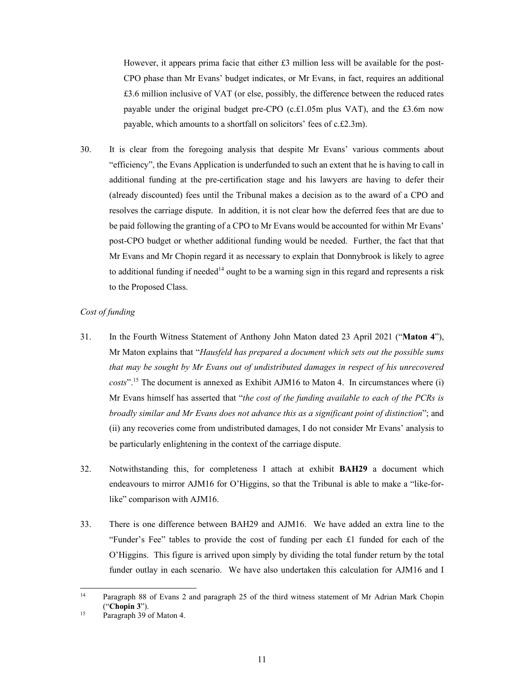However, it appears prima facie that either £3 million less will be available for the post-CPO phase than Mr Evans' budget indicates, or Mr Evans, in fact, requires an additional £3.6 million inclusive of VAT (or else, possibly, the difference between the reduced rates payable under the original budget pre-CPO (c.£1.05m plus VAT), and the £3.6m now payable, which amounts to a shortfall on solicitors' fees of c.£2.3m).

30. It is clear from the foregoing analysis that despite Mr Evans' various comments about "efficiency", the Evans Application is underfunded to such an extent that he is having to call in additional funding at the pre-certification stage and his lawyers are having to defer their (already discounted) fees until the Tribunal makes a decision as to the award of a CPO and resolves the carriage dispute. In addition, it is not clear how the deferred fees that are due to be paid following the granting of a CPO to Mr Evans would be accounted for within Mr Evans' post-CPO budget or whether additional funding would be needed. Further, the fact that that Mr Evans and Mr Chopin regard it as necessary to explain that Donnybrook is likely to agree to additional funding if needed<sup>14</sup> ought to be a warning sign in this regard and represents a risk to the Proposed Class.

## *Cost of funding*

- 31. In the Fourth Witness Statement of Anthony John Maton dated 23 April 2021 ("**Maton 4**"), Mr Maton explains that "*Hausfeld has prepared a document which sets out the possible sums that may be sought by Mr Evans out of undistributed damages in respect of his unrecovered costs*".15 The document is annexed as Exhibit AJM16 to Maton 4. In circumstances where (i) Mr Evans himself has asserted that "*the cost of the funding available to each of the PCRs is broadly similar and Mr Evans does not advance this as a significant point of distinction*"; and (ii) any recoveries come from undistributed damages, I do not consider Mr Evans' analysis to be particularly enlightening in the context of the carriage dispute.
- 32. Notwithstanding this, for completeness I attach at exhibit **BAH29** a document which endeavours to mirror AJM16 for O'Higgins, so that the Tribunal is able to make a "like-forlike" comparison with AJM16.
- 33. There is one difference between BAH29 and AJM16. We have added an extra line to the "Funder's Fee" tables to provide the cost of funding per each £1 funded for each of the O'Higgins. This figure is arrived upon simply by dividing the total funder return by the total funder outlay in each scenario. We have also undertaken this calculation for AJM16 and I

 $14<sup>1</sup>$ Paragraph 88 of Evans 2 and paragraph 25 of the third witness statement of Mr Adrian Mark Chopin <sup>15</sup> ("**Chopin 3**").<br><sup>15</sup> Paragraph 39 of Maton 4.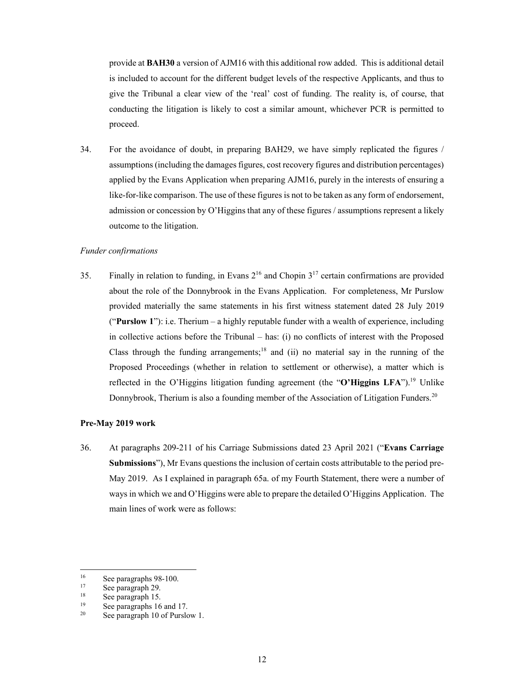provide at **BAH30** a version of AJM16 with this additional row added. This is additional detail is included to account for the different budget levels of the respective Applicants, and thus to give the Tribunal a clear view of the 'real' cost of funding. The reality is, of course, that conducting the litigation is likely to cost a similar amount, whichever PCR is permitted to proceed.

34. For the avoidance of doubt, in preparing BAH29, we have simply replicated the figures / assumptions (including the damages figures, cost recovery figures and distribution percentages) applied by the Evans Application when preparing AJM16, purely in the interests of ensuring a like-for-like comparison. The use of these figures is not to be taken as any form of endorsement, admission or concession by O'Higgins that any of these figures / assumptions represent a likely outcome to the litigation.

### *Funder confirmations*

35. Finally in relation to funding, in Evans  $2^{16}$  and Chopin  $3^{17}$  certain confirmations are provided about the role of the Donnybrook in the Evans Application. For completeness, Mr Purslow provided materially the same statements in his first witness statement dated 28 July 2019 ("**Purslow 1**"): i.e. Therium – a highly reputable funder with a wealth of experience, including in collective actions before the Tribunal  $-$  has: (i) no conflicts of interest with the Proposed Class through the funding arrangements;<sup>18</sup> and (ii) no material say in the running of the Proposed Proceedings (whether in relation to settlement or otherwise), a matter which is reflected in the O'Higgins litigation funding agreement (the "**O'Higgins LFA**").<sup>19</sup> Unlike Donnybrook, Therium is also a founding member of the Association of Litigation Funders.<sup>20</sup>

#### **Pre-May 2019 work**

36. At paragraphs 209-211 of his Carriage Submissions dated 23 April 2021 ("**Evans Carriage Submissions**"), Mr Evans questions the inclusion of certain costs attributable to the period pre-May 2019. As I explained in paragraph 65a. of my Fourth Statement, there were a number of ways in which we and O'Higgins were able to prepare the detailed O'Higgins Application. The main lines of work were as follows:

-

<sup>&</sup>lt;sup>16</sup> See paragraphs 98-100.<br> $\frac{17}{17}$  See paragraph 29

 $\frac{17}{18}$  See paragraph 29.

 $18$  See paragraph 15.

<sup>&</sup>lt;sup>19</sup> See paragraphs 16 and 17.<br><sup>20</sup> See paragraph 10 of Purale

See paragraph 10 of Purslow 1.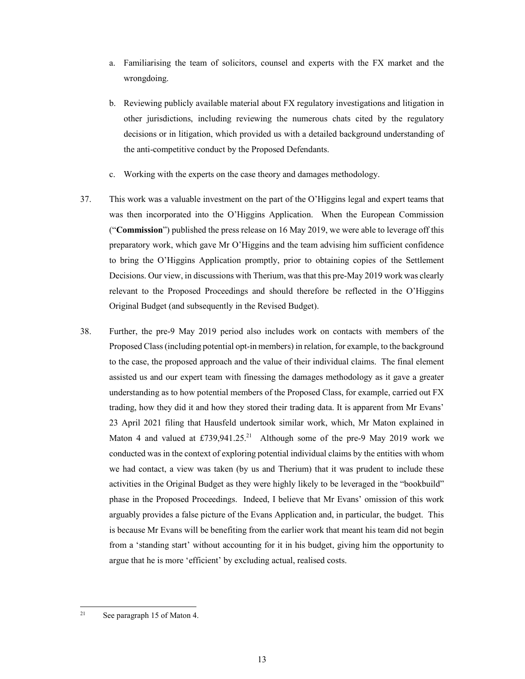- a. Familiarising the team of solicitors, counsel and experts with the FX market and the wrongdoing.
- b. Reviewing publicly available material about FX regulatory investigations and litigation in other jurisdictions, including reviewing the numerous chats cited by the regulatory decisions or in litigation, which provided us with a detailed background understanding of the anti-competitive conduct by the Proposed Defendants.
- c. Working with the experts on the case theory and damages methodology.
- 37. This work was a valuable investment on the part of the O'Higgins legal and expert teams that was then incorporated into the O'Higgins Application. When the European Commission ("**Commission**") published the press release on 16 May 2019, we were able to leverage off this preparatory work, which gave Mr O'Higgins and the team advising him sufficient confidence to bring the O'Higgins Application promptly, prior to obtaining copies of the Settlement Decisions. Our view, in discussions with Therium, was that this pre-May 2019 work was clearly relevant to the Proposed Proceedings and should therefore be reflected in the O'Higgins Original Budget (and subsequently in the Revised Budget).
- 38. Further, the pre-9 May 2019 period also includes work on contacts with members of the Proposed Class (including potential opt-in members) in relation, for example, to the background to the case, the proposed approach and the value of their individual claims. The final element assisted us and our expert team with finessing the damages methodology as it gave a greater understanding as to how potential members of the Proposed Class, for example, carried out FX trading, how they did it and how they stored their trading data. It is apparent from Mr Evans' 23 April 2021 filing that Hausfeld undertook similar work, which, Mr Maton explained in Maton 4 and valued at  $£739,941.25$ <sup>21</sup> Although some of the pre-9 May 2019 work we conducted was in the context of exploring potential individual claims by the entities with whom we had contact, a view was taken (by us and Therium) that it was prudent to include these activities in the Original Budget as they were highly likely to be leveraged in the "bookbuild" phase in the Proposed Proceedings. Indeed, I believe that Mr Evans' omission of this work arguably provides a false picture of the Evans Application and, in particular, the budget. This is because Mr Evans will be benefiting from the earlier work that meant his team did not begin from a 'standing start' without accounting for it in his budget, giving him the opportunity to argue that he is more 'efficient' by excluding actual, realised costs.

 $21$ See paragraph 15 of Maton 4.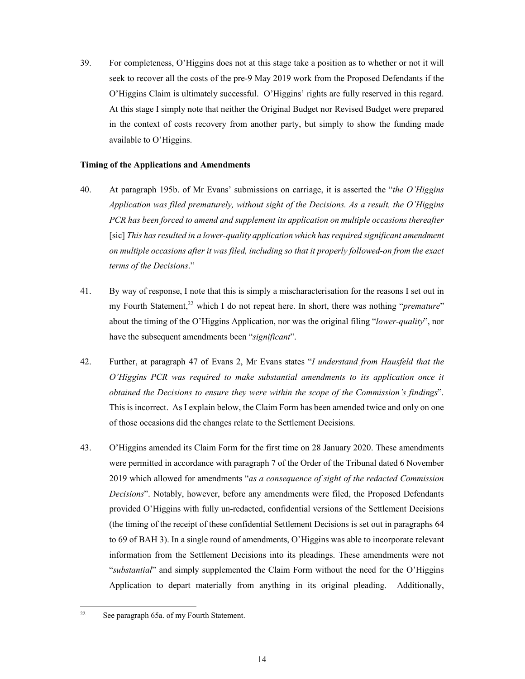39. For completeness, O'Higgins does not at this stage take a position as to whether or not it will seek to recover all the costs of the pre-9 May 2019 work from the Proposed Defendants if the O'Higgins Claim is ultimately successful. O'Higgins' rights are fully reserved in this regard. At this stage I simply note that neither the Original Budget nor Revised Budget were prepared in the context of costs recovery from another party, but simply to show the funding made available to O'Higgins.

## **Timing of the Applications and Amendments**

- 40. At paragraph 195b. of Mr Evans' submissions on carriage, it is asserted the "*the O'Higgins Application was filed prematurely, without sight of the Decisions. As a result, the O'Higgins PCR has been forced to amend and supplement its application on multiple occasions thereafter*  [sic] *This has resulted in a lower-quality application which has required significant amendment on multiple occasions after it was filed, including so that it properly followed-on from the exact terms of the Decisions*."
- 41. By way of response, I note that this is simply a mischaracterisation for the reasons I set out in my Fourth Statement,<sup>22</sup> which I do not repeat here. In short, there was nothing "*premature*" about the timing of the O'Higgins Application, nor was the original filing "*lower-quality*", nor have the subsequent amendments been "*significant*".
- 42. Further, at paragraph 47 of Evans 2, Mr Evans states "*I understand from Hausfeld that the O'Higgins PCR was required to make substantial amendments to its application once it obtained the Decisions to ensure they were within the scope of the Commission's findings*". This is incorrect. As I explain below, the Claim Form has been amended twice and only on one of those occasions did the changes relate to the Settlement Decisions.
- 43. O'Higgins amended its Claim Form for the first time on 28 January 2020. These amendments were permitted in accordance with paragraph 7 of the Order of the Tribunal dated 6 November 2019 which allowed for amendments "*as a consequence of sight of the redacted Commission Decisions*". Notably, however, before any amendments were filed, the Proposed Defendants provided O'Higgins with fully un-redacted, confidential versions of the Settlement Decisions (the timing of the receipt of these confidential Settlement Decisions is set out in paragraphs 64 to 69 of BAH 3). In a single round of amendments, O'Higgins was able to incorporate relevant information from the Settlement Decisions into its pleadings. These amendments were not "*substantial*" and simply supplemented the Claim Form without the need for the O'Higgins Application to depart materially from anything in its original pleading. Additionally,

 $22$ See paragraph 65a. of my Fourth Statement.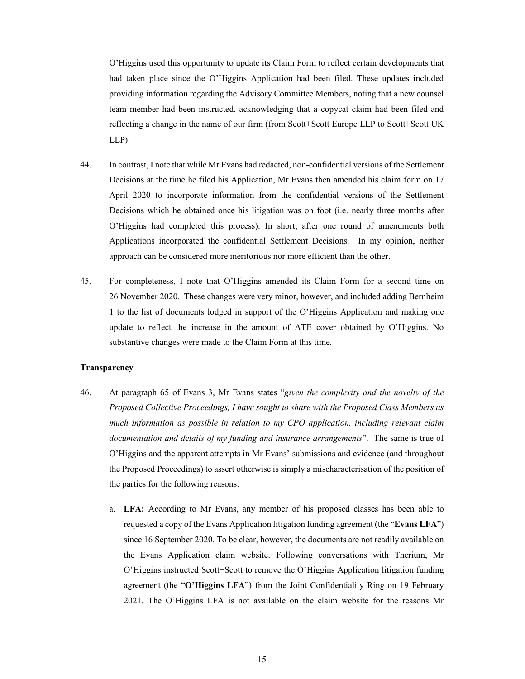O'Higgins used this opportunity to update its Claim Form to reflect certain developments that had taken place since the O'Higgins Application had been filed. These updates included providing information regarding the Advisory Committee Members, noting that a new counsel team member had been instructed, acknowledging that a copycat claim had been filed and reflecting a change in the name of our firm (from Scott+Scott Europe LLP to Scott+Scott UK LLP).

- 44. In contrast, I note that while Mr Evans had redacted, non-confidential versions of the Settlement Decisions at the time he filed his Application, Mr Evans then amended his claim form on 17 April 2020 to incorporate information from the confidential versions of the Settlement Decisions which he obtained once his litigation was on foot (i.e. nearly three months after O'Higgins had completed this process). In short, after one round of amendments both Applications incorporated the confidential Settlement Decisions. In my opinion, neither approach can be considered more meritorious nor more efficient than the other.
- 45. For completeness, I note that O'Higgins amended its Claim Form for a second time on 26 November 2020. These changes were very minor, however, and included adding Bernheim 1 to the list of documents lodged in support of the O'Higgins Application and making one update to reflect the increase in the amount of ATE cover obtained by O'Higgins. No substantive changes were made to the Claim Form at this time.

## **Transparency**

- 46. At paragraph 65 of Evans 3, Mr Evans states "*given the complexity and the novelty of the Proposed Collective Proceedings, I have sought to share with the Proposed Class Members as much information as possible in relation to my CPO application, including relevant claim documentation and details of my funding and insurance arrangements*". The same is true of O'Higgins and the apparent attempts in Mr Evans' submissions and evidence (and throughout the Proposed Proceedings) to assert otherwise is simply a mischaracterisation of the position of the parties for the following reasons:
	- a. **LFA:** According to Mr Evans, any member of his proposed classes has been able to requested a copy of the Evans Application litigation funding agreement (the "**Evans LFA**") since 16 September 2020. To be clear, however, the documents are not readily available on the Evans Application claim website. Following conversations with Therium, Mr O'Higgins instructed Scott+Scott to remove the O'Higgins Application litigation funding agreement (the "**O'Higgins LFA**") from the Joint Confidentiality Ring on 19 February 2021. The O'Higgins LFA is not available on the claim website for the reasons Mr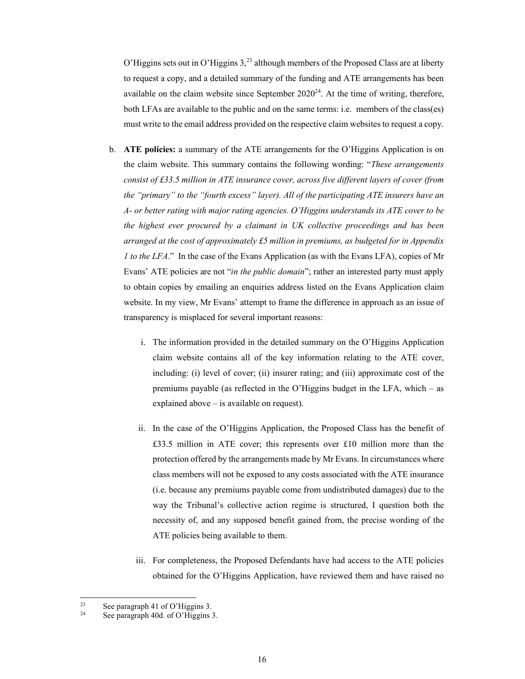O'Higgins sets out in O'Higgins  $3<sup>23</sup>$  although members of the Proposed Class are at liberty to request a copy, and a detailed summary of the funding and ATE arrangements has been available on the claim website since September  $2020^{24}$ . At the time of writing, therefore, both LFAs are available to the public and on the same terms: i.e. members of the class(es) must write to the email address provided on the respective claim websites to request a copy.

- b. **ATE policies:** a summary of the ATE arrangements for the O'Higgins Application is on the claim website. This summary contains the following wording: "*These arrangements consist of £33.5 million in ATE insurance cover, across five different layers of cover (from the "primary" to the "fourth excess" layer). All of the participating ATE insurers have an A- or better rating with major rating agencies. O'Higgins understands its ATE cover to be the highest ever procured by a claimant in UK collective proceedings and has been arranged at the cost of approximately £5 million in premiums, as budgeted for in Appendix 1 to the LFA*." In the case of the Evans Application (as with the Evans LFA), copies of Mr Evans' ATE policies are not "*in the public domain*"; rather an interested party must apply to obtain copies by emailing an enquiries address listed on the Evans Application claim website. In my view, Mr Evans' attempt to frame the difference in approach as an issue of transparency is misplaced for several important reasons:
	- i. The information provided in the detailed summary on the O'Higgins Application claim website contains all of the key information relating to the ATE cover, including: (i) level of cover; (ii) insurer rating; and (iii) approximate cost of the premiums payable (as reflected in the O'Higgins budget in the LFA, which – as explained above – is available on request).
	- ii. In the case of the O'Higgins Application, the Proposed Class has the benefit of £33.5 million in ATE cover; this represents over £10 million more than the protection offered by the arrangements made by Mr Evans. In circumstances where class members will not be exposed to any costs associated with the ATE insurance (i.e. because any premiums payable come from undistributed damages) due to the way the Tribunal's collective action regime is structured, I question both the necessity of, and any supposed benefit gained from, the precise wording of the ATE policies being available to them.
	- iii. For completeness, the Proposed Defendants have had access to the ATE policies obtained for the O'Higgins Application, have reviewed them and have raised no

 $2<sub>3</sub>$ <sup>23</sup> See paragraph 41 of O'Higgins 3.<br><sup>24</sup> See nonomaph 40d, of O'Higgins 2.

See paragraph 40d. of O'Higgins 3.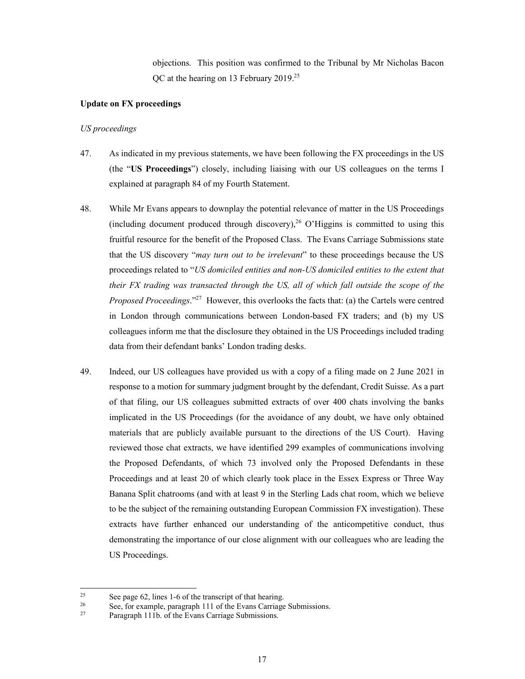objections. This position was confirmed to the Tribunal by Mr Nicholas Bacon QC at the hearing on 13 February 2019.25

## **Update on FX proceedings**

#### *US proceedings*

- 47. As indicated in my previous statements, we have been following the FX proceedings in the US (the "**US Proceedings**") closely, including liaising with our US colleagues on the terms I explained at paragraph 84 of my Fourth Statement.
- 48. While Mr Evans appears to downplay the potential relevance of matter in the US Proceedings (including document produced through discovery),  $26$  O'Higgins is committed to using this fruitful resource for the benefit of the Proposed Class. The Evans Carriage Submissions state that the US discovery "*may turn out to be irrelevant*" to these proceedings because the US proceedings related to "*US domiciled entities and non-US domiciled entities to the extent that their FX trading was transacted through the US, all of which fall outside the scope of the Proposed Proceedings*."27 However, this overlooks the facts that: (a) the Cartels were centred in London through communications between London-based FX traders; and (b) my US colleagues inform me that the disclosure they obtained in the US Proceedings included trading data from their defendant banks' London trading desks.
- 49. Indeed, our US colleagues have provided us with a copy of a filing made on 2 June 2021 in response to a motion for summary judgment brought by the defendant, Credit Suisse. As a part of that filing, our US colleagues submitted extracts of over 400 chats involving the banks implicated in the US Proceedings (for the avoidance of any doubt, we have only obtained materials that are publicly available pursuant to the directions of the US Court). Having reviewed those chat extracts, we have identified 299 examples of communications involving the Proposed Defendants, of which 73 involved only the Proposed Defendants in these Proceedings and at least 20 of which clearly took place in the Essex Express or Three Way Banana Split chatrooms (and with at least 9 in the Sterling Lads chat room, which we believe to be the subject of the remaining outstanding European Commission FX investigation). These extracts have further enhanced our understanding of the anticompetitive conduct, thus demonstrating the importance of our close alignment with our colleagues who are leading the US Proceedings.

 $25$ <sup>25</sup> See page 62, lines 1-6 of the transcript of that hearing.<br><sup>26</sup> See for example personal 111 of the Evens Cerrics

<sup>&</sup>lt;sup>26</sup> See, for example, paragraph 111 of the Evans Carriage Submissions.<br><sup>27</sup> Paragraph 111b. of the Evans Carriage Submissions.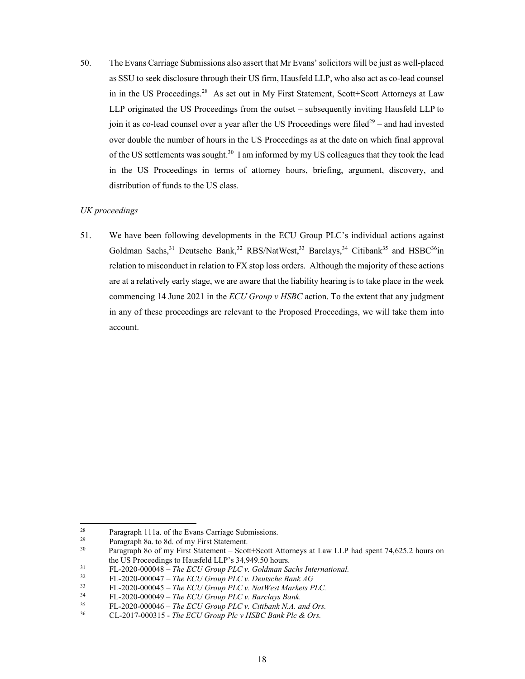50. The Evans Carriage Submissions also assert that Mr Evans' solicitors will be just as well-placed as SSU to seek disclosure through their US firm, Hausfeld LLP, who also act as co-lead counsel in in the US Proceedings.<sup>28</sup> As set out in My First Statement, Scott+Scott Attorneys at Law LLP originated the US Proceedings from the outset – subsequently inviting Hausfeld LLP to join it as co-lead counsel over a year after the US Proceedings were filed<sup>29</sup> – and had invested over double the number of hours in the US Proceedings as at the date on which final approval of the US settlements was sought.<sup>30</sup> I am informed by my US colleagues that they took the lead in the US Proceedings in terms of attorney hours, briefing, argument, discovery, and distribution of funds to the US class.

## *UK proceedings*

51. We have been following developments in the ECU Group PLC's individual actions against Goldman Sachs,<sup>31</sup> Deutsche Bank,<sup>32</sup> RBS/NatWest,<sup>33</sup> Barclays,<sup>34</sup> Citibank<sup>35</sup> and HSBC<sup>36</sup>in relation to misconduct in relation to FX stop loss orders. Although the majority of these actions are at a relatively early stage, we are aware that the liability hearing is to take place in the week commencing 14 June 2021 in the *ECU Group v HSBC* action. To the extent that any judgment in any of these proceedings are relevant to the Proposed Proceedings, we will take them into account.

-

<sup>&</sup>lt;sup>28</sup> Paragraph 111a. of the Evans Carriage Submissions.<br> **Paragraph 8a** to 8d of my First Statement

<sup>&</sup>lt;sup>29</sup> Paragraph 8a. to 8d. of my First Statement.<br><sup>30</sup> Paragraph 8e of my First Statement. Seet

<sup>30</sup> Paragraph 8o of my First Statement – Scott+Scott Attorneys at Law LLP had spent 74,625.2 hours on the US Proceedings to Hausfeld LLP's 34,949.50 hours.<br><sup>31</sup> FL-2020-000048 – *The ECU Group PLC v. Goldman Sachs International*.<br><sup>32</sup> FL-2020-000047 – *The ECU Group PLC v. Deutsche Bank AG* 

<sup>32</sup> FL-2020-000047 – *The ECU Group PLC v. Deutsche Bank AG*

 $^{33}$  FL-2020-000045 – *The ECU Group PLC v. NatWest Markets PLC*.<br> $^{34}$  FL-2020-000049 – *The ECU Group PLC v. Barclays Bank* 

<sup>34</sup> FL-2020-000049 *– The ECU Group PLC v. Barclays Bank.*

<sup>35</sup> FL-2020-000046 *– The ECU Group PLC v. Citibank N.A. and Ors.*

<sup>36</sup> CL-2017-000315 - *The ECU Group Plc v HSBC Bank Plc & Ors.*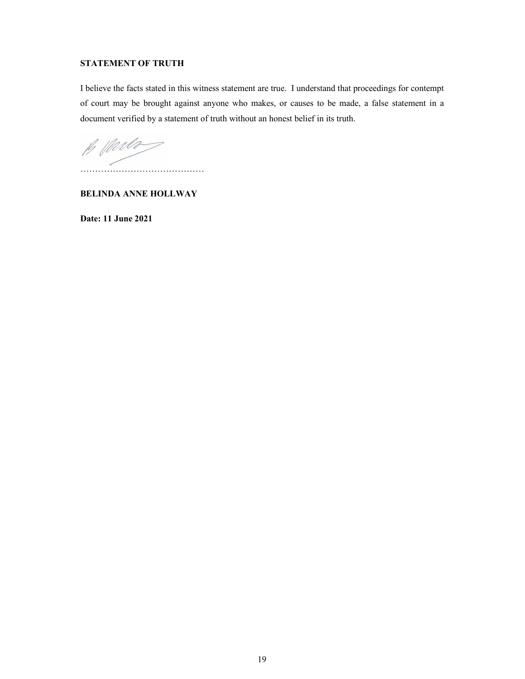# **STATEMENT OF TRUTH**

I believe the facts stated in this witness statement are true. I understand that proceedings for contempt of court may be brought against anyone who makes, or causes to be made, a false statement in a document verified by a statement of truth without an honest belief in its truth.

B Marlo ……………………………………

**BELINDA ANNE HOLLWAY** 

**Date: 11 June 2021**